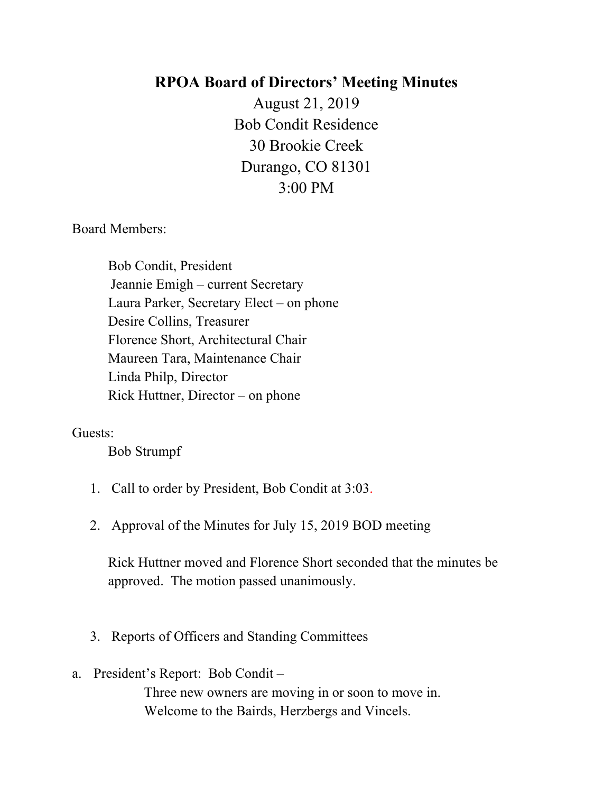## **RPOA Board of Directors' Meeting Minutes**

August 21, 2019 Bob Condit Residence 30 Brookie Creek Durango, CO 81301 3:00 PM

Board Members:

Bob Condit, President Jeannie Emigh – current Secretary Laura Parker, Secretary Elect – on phone Desire Collins, Treasurer Florence Short, Architectural Chair Maureen Tara, Maintenance Chair Linda Philp, Director Rick Huttner, Director – on phone

## Guests:

Bob Strumpf

- 1. Call to order by President, Bob Condit at 3:03.
- 2. Approval of the Minutes for July 15, 2019 BOD meeting

Rick Huttner moved and Florence Short seconded that the minutes be approved. The motion passed unanimously.

- 3. Reports of Officers and Standing Committees
- a. President's Report: Bob Condit Three new owners are moving in or soon to move in. Welcome to the Bairds, Herzbergs and Vincels.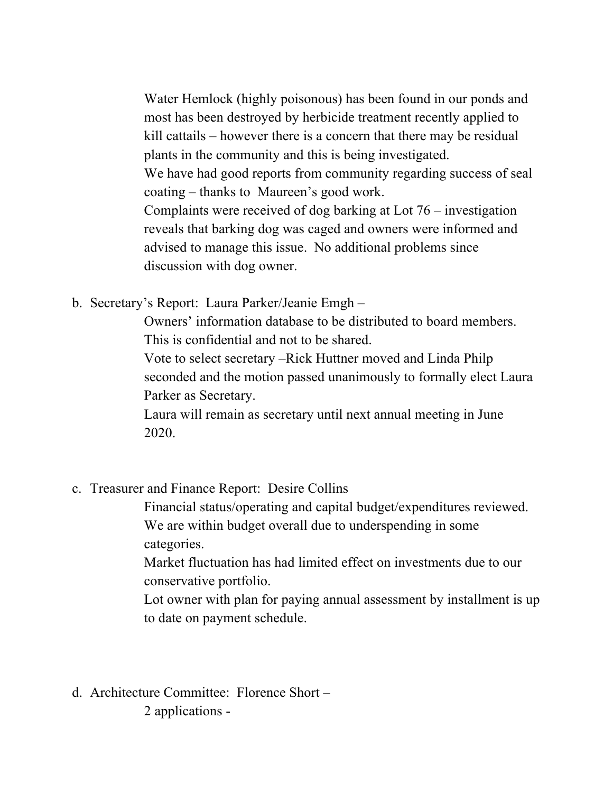Water Hemlock (highly poisonous) has been found in our ponds and most has been destroyed by herbicide treatment recently applied to kill cattails – however there is a concern that there may be residual plants in the community and this is being investigated. We have had good reports from community regarding success of seal coating – thanks to Maureen's good work. Complaints were received of dog barking at Lot 76 – investigation reveals that barking dog was caged and owners were informed and advised to manage this issue. No additional problems since discussion with dog owner.

b. Secretary's Report: Laura Parker/Jeanie Emgh –

Owners' information database to be distributed to board members. This is confidential and not to be shared.

Vote to select secretary –Rick Huttner moved and Linda Philp seconded and the motion passed unanimously to formally elect Laura Parker as Secretary.

Laura will remain as secretary until next annual meeting in June 2020.

c. Treasurer and Finance Report: Desire Collins

Financial status/operating and capital budget/expenditures reviewed. We are within budget overall due to underspending in some categories.

Market fluctuation has had limited effect on investments due to our conservative portfolio.

Lot owner with plan for paying annual assessment by installment is up to date on payment schedule.

d. Architecture Committee: Florence Short – 2 applications -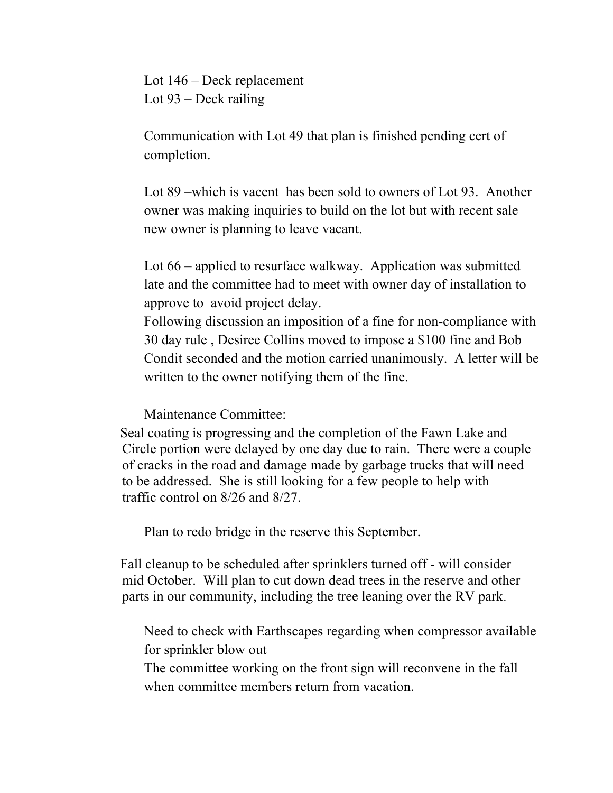Lot 146 – Deck replacement Lot 93 – Deck railing

Communication with Lot 49 that plan is finished pending cert of completion.

Lot 89 –which is vacent has been sold to owners of Lot 93. Another owner was making inquiries to build on the lot but with recent sale new owner is planning to leave vacant.

Lot 66 – applied to resurface walkway. Application was submitted late and the committee had to meet with owner day of installation to approve to avoid project delay.

Following discussion an imposition of a fine for non-compliance with 30 day rule , Desiree Collins moved to impose a \$100 fine and Bob Condit seconded and the motion carried unanimously. A letter will be written to the owner notifying them of the fine.

Maintenance Committee:

 Seal coating is progressing and the completion of the Fawn Lake and Circle portion were delayed by one day due to rain. There were a couple of cracks in the road and damage made by garbage trucks that will need to be addressed. She is still looking for a few people to help with traffic control on 8/26 and 8/27.

Plan to redo bridge in the reserve this September.

Fall cleanup to be scheduled after sprinklers turned off - will consider mid October. Will plan to cut down dead trees in the reserve and other parts in our community, including the tree leaning over the RV park.

Need to check with Earthscapes regarding when compressor available for sprinkler blow out

The committee working on the front sign will reconvene in the fall when committee members return from vacation.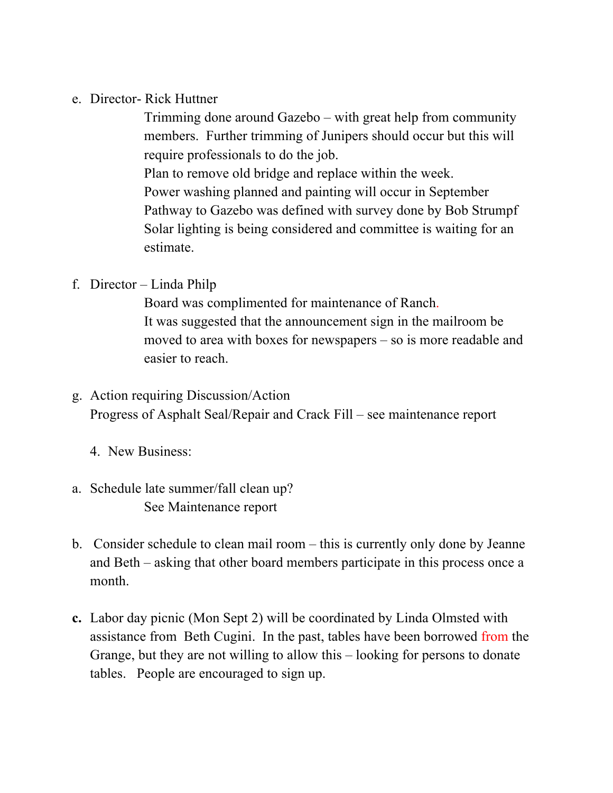e. Director- Rick Huttner

Trimming done around Gazebo – with great help from community members. Further trimming of Junipers should occur but this will require professionals to do the job.

Plan to remove old bridge and replace within the week. Power washing planned and painting will occur in September Pathway to Gazebo was defined with survey done by Bob Strumpf Solar lighting is being considered and committee is waiting for an estimate.

## f. Director – Linda Philp

Board was complimented for maintenance of Ranch. It was suggested that the announcement sign in the mailroom be moved to area with boxes for newspapers – so is more readable and easier to reach.

- g. Action requiring Discussion/Action Progress of Asphalt Seal/Repair and Crack Fill – see maintenance report
	- 4. New Business:
- a. Schedule late summer/fall clean up? See Maintenance report
- b. Consider schedule to clean mail room this is currently only done by Jeanne and Beth – asking that other board members participate in this process once a month.
- **c.** Labor day picnic (Mon Sept 2) will be coordinated by Linda Olmsted with assistance from Beth Cugini. In the past, tables have been borrowed from the Grange, but they are not willing to allow this – looking for persons to donate tables. People are encouraged to sign up.